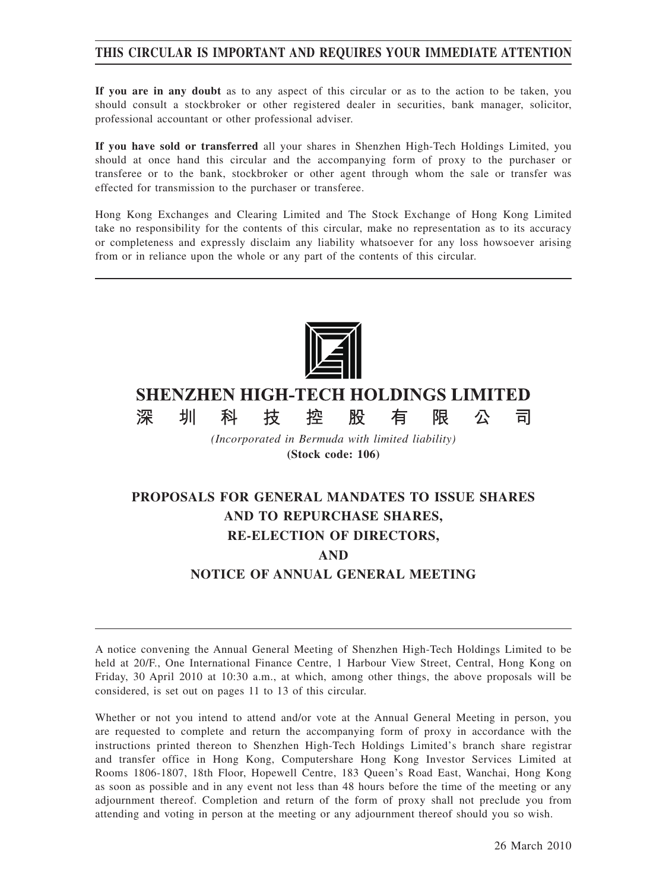# **THIS CIRCULAR IS IMPORTANT AND REQUIRES YOUR IMMEDIATE ATTENTION**

**If you are in any doubt** as to any aspect of this circular or as to the action to be taken, you should consult a stockbroker or other registered dealer in securities, bank manager, solicitor, professional accountant or other professional adviser.

**If you have sold or transferred** all your shares in Shenzhen High-Tech Holdings Limited, you should at once hand this circular and the accompanying form of proxy to the purchaser or transferee or to the bank, stockbroker or other agent through whom the sale or transfer was effected for transmission to the purchaser or transferee.

Hong Kong Exchanges and Clearing Limited and The Stock Exchange of Hong Kong Limited take no responsibility for the contents of this circular, make no representation as to its accuracy or completeness and expressly disclaim any liability whatsoever for any loss howsoever arising from or in reliance upon the whole or any part of the contents of this circular.



# **SHENZHEN HIGH-TECH HOLDINGS LIMITED**

椌

技

深

圳

科

*(Incorporated in Bermuda with limited liability)* **(Stock code: 106)**

股

限

公

司

有

# **PROPOSALS FOR GENERAL MANDATES TO ISSUE SHARES AND TO REPURCHASE SHARES, RE-ELECTION OF DIRECTORS, AND NOTICE OF ANNUAL GENERAL MEETING**

A notice convening the Annual General Meeting of Shenzhen High-Tech Holdings Limited to be held at 20/F., One International Finance Centre, 1 Harbour View Street, Central, Hong Kong on Friday, 30 April 2010 at 10:30 a.m., at which, among other things, the above proposals will be considered, is set out on pages 11 to 13 of this circular.

Whether or not you intend to attend and/or vote at the Annual General Meeting in person, you are requested to complete and return the accompanying form of proxy in accordance with the instructions printed thereon to Shenzhen High-Tech Holdings Limited's branch share registrar and transfer office in Hong Kong, Computershare Hong Kong Investor Services Limited at Rooms 1806-1807, 18th Floor, Hopewell Centre, 183 Queen's Road East, Wanchai, Hong Kong as soon as possible and in any event not less than 48 hours before the time of the meeting or any adjournment thereof. Completion and return of the form of proxy shall not preclude you from attending and voting in person at the meeting or any adjournment thereof should you so wish.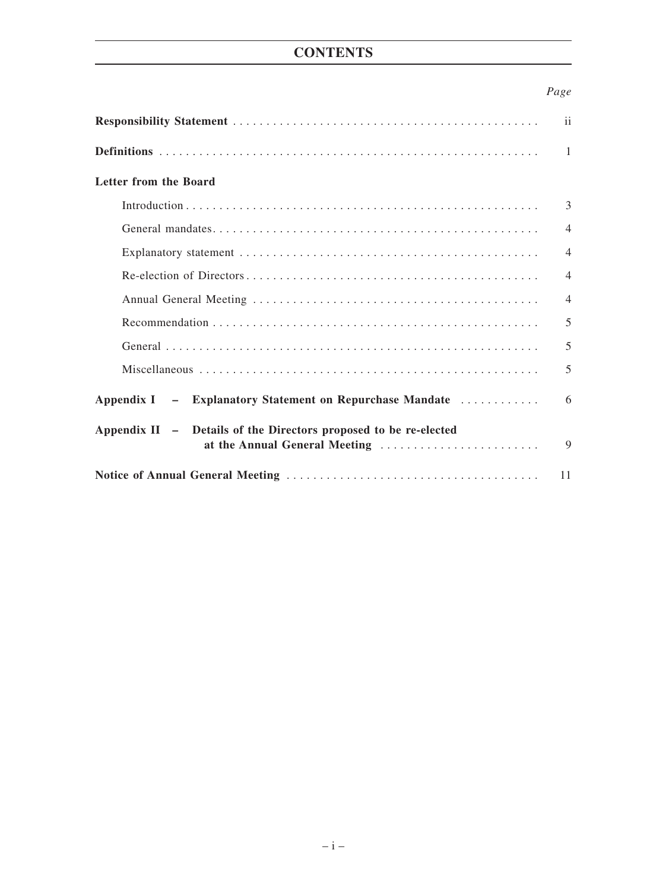# **CONTENTS**

# *Page*

|                                                                                                   | ii             |
|---------------------------------------------------------------------------------------------------|----------------|
|                                                                                                   | -1             |
| Letter from the Board                                                                             |                |
|                                                                                                   | 3              |
|                                                                                                   | $\overline{4}$ |
|                                                                                                   | $\overline{4}$ |
|                                                                                                   | $\overline{4}$ |
|                                                                                                   | $\overline{4}$ |
|                                                                                                   | 5              |
|                                                                                                   | 5              |
|                                                                                                   | 5              |
| Appendix I - Explanatory Statement on Repurchase Mandate                                          | 6              |
| Appendix II - Details of the Directors proposed to be re-elected<br>at the Annual General Meeting | 9              |
|                                                                                                   | 11             |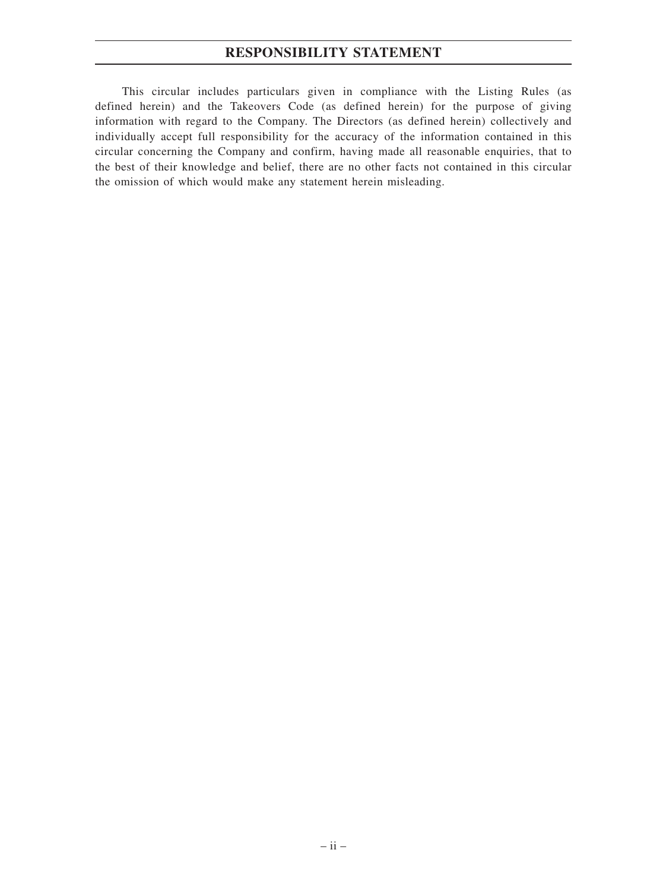# **RESPONSIBILITY STATEMENT**

This circular includes particulars given in compliance with the Listing Rules (as defined herein) and the Takeovers Code (as defined herein) for the purpose of giving information with regard to the Company. The Directors (as defined herein) collectively and individually accept full responsibility for the accuracy of the information contained in this circular concerning the Company and confirm, having made all reasonable enquiries, that to the best of their knowledge and belief, there are no other facts not contained in this circular the omission of which would make any statement herein misleading.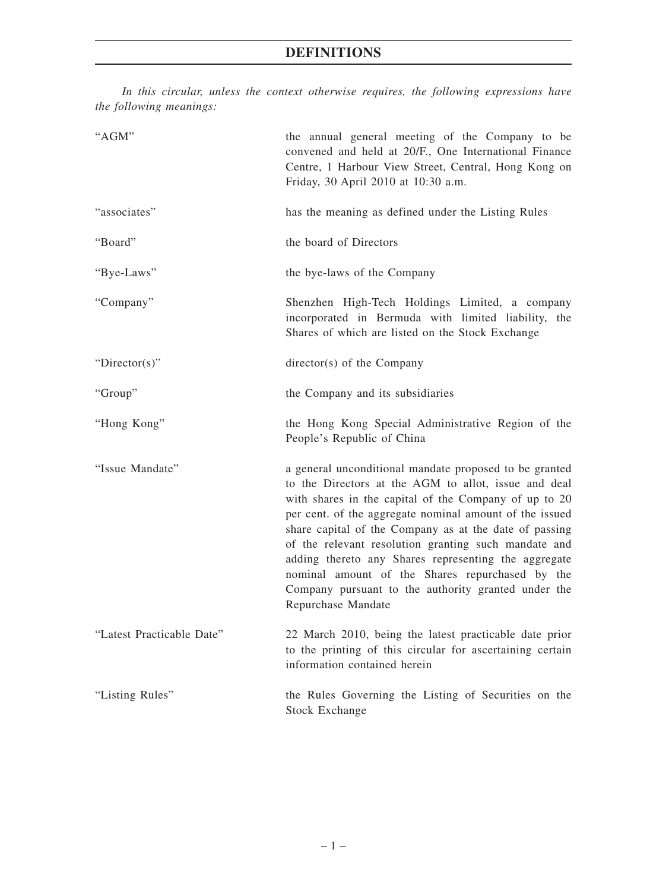*In this circular, unless the context otherwise requires, the following expressions have the following meanings:*

| "AGM"                     | the annual general meeting of the Company to be<br>convened and held at 20/F., One International Finance<br>Centre, 1 Harbour View Street, Central, Hong Kong on<br>Friday, 30 April 2010 at 10:30 a.m.                                                                                                                                                                                                                                                                                                                                      |
|---------------------------|----------------------------------------------------------------------------------------------------------------------------------------------------------------------------------------------------------------------------------------------------------------------------------------------------------------------------------------------------------------------------------------------------------------------------------------------------------------------------------------------------------------------------------------------|
| "associates"              | has the meaning as defined under the Listing Rules                                                                                                                                                                                                                                                                                                                                                                                                                                                                                           |
| "Board"                   | the board of Directors                                                                                                                                                                                                                                                                                                                                                                                                                                                                                                                       |
| "Bye-Laws"                | the bye-laws of the Company                                                                                                                                                                                                                                                                                                                                                                                                                                                                                                                  |
| "Company"                 | Shenzhen High-Tech Holdings Limited, a company<br>incorporated in Bermuda with limited liability, the<br>Shares of which are listed on the Stock Exchange                                                                                                                                                                                                                                                                                                                                                                                    |
| "Director(s)"             | director(s) of the Company                                                                                                                                                                                                                                                                                                                                                                                                                                                                                                                   |
| "Group"                   | the Company and its subsidiaries                                                                                                                                                                                                                                                                                                                                                                                                                                                                                                             |
| "Hong Kong"               | the Hong Kong Special Administrative Region of the<br>People's Republic of China                                                                                                                                                                                                                                                                                                                                                                                                                                                             |
| "Issue Mandate"           | a general unconditional mandate proposed to be granted<br>to the Directors at the AGM to allot, issue and deal<br>with shares in the capital of the Company of up to 20<br>per cent. of the aggregate nominal amount of the issued<br>share capital of the Company as at the date of passing<br>of the relevant resolution granting such mandate and<br>adding thereto any Shares representing the aggregate<br>nominal amount of the Shares repurchased by the<br>Company pursuant to the authority granted under the<br>Repurchase Mandate |
| "Latest Practicable Date" | 22 March 2010, being the latest practicable date prior<br>to the printing of this circular for ascertaining certain<br>information contained herein                                                                                                                                                                                                                                                                                                                                                                                          |
| "Listing Rules"           | the Rules Governing the Listing of Securities on the<br><b>Stock Exchange</b>                                                                                                                                                                                                                                                                                                                                                                                                                                                                |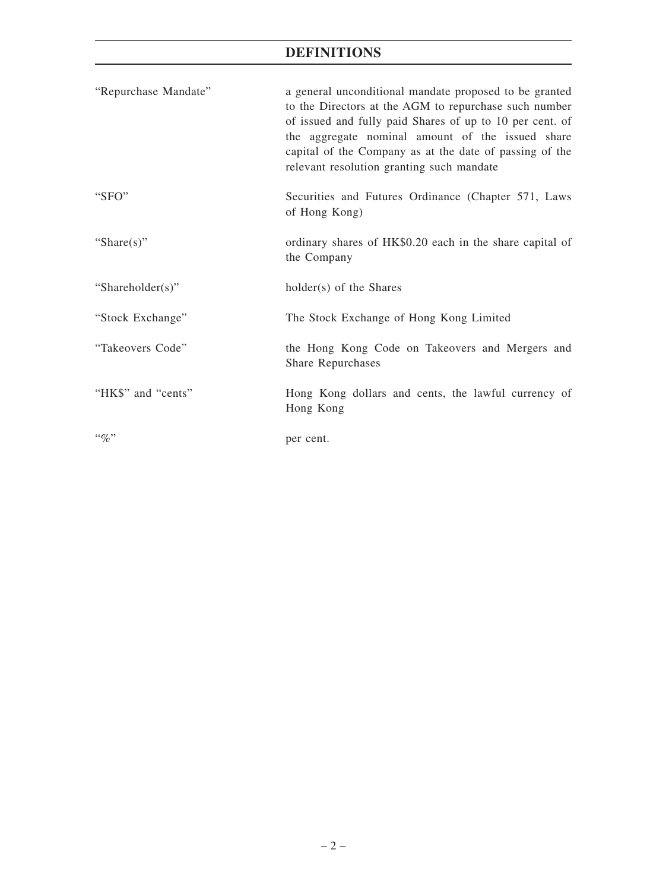# **DEFINITIONS**

| "Repurchase Mandate" | a general unconditional mandate proposed to be granted<br>to the Directors at the AGM to repurchase such number<br>of issued and fully paid Shares of up to 10 per cent. of<br>the aggregate nominal amount of the issued share<br>capital of the Company as at the date of passing of the<br>relevant resolution granting such mandate |
|----------------------|-----------------------------------------------------------------------------------------------------------------------------------------------------------------------------------------------------------------------------------------------------------------------------------------------------------------------------------------|
| " $SFO"$             | Securities and Futures Ordinance (Chapter 571, Laws<br>of Hong Kong)                                                                                                                                                                                                                                                                    |
| "Share $(s)$ "       | ordinary shares of HK\$0.20 each in the share capital of<br>the Company                                                                                                                                                                                                                                                                 |
| "Shareholder(s)"     | holder(s) of the Shares                                                                                                                                                                                                                                                                                                                 |
| "Stock Exchange"     | The Stock Exchange of Hong Kong Limited                                                                                                                                                                                                                                                                                                 |
| "Takeovers Code"     | the Hong Kong Code on Takeovers and Mergers and<br><b>Share Repurchases</b>                                                                                                                                                                                                                                                             |
| "HK\$" and "cents"   | Hong Kong dollars and cents, the lawful currency of<br>Hong Kong                                                                                                                                                                                                                                                                        |
| $\lq\lq q_0$ "       | per cent.                                                                                                                                                                                                                                                                                                                               |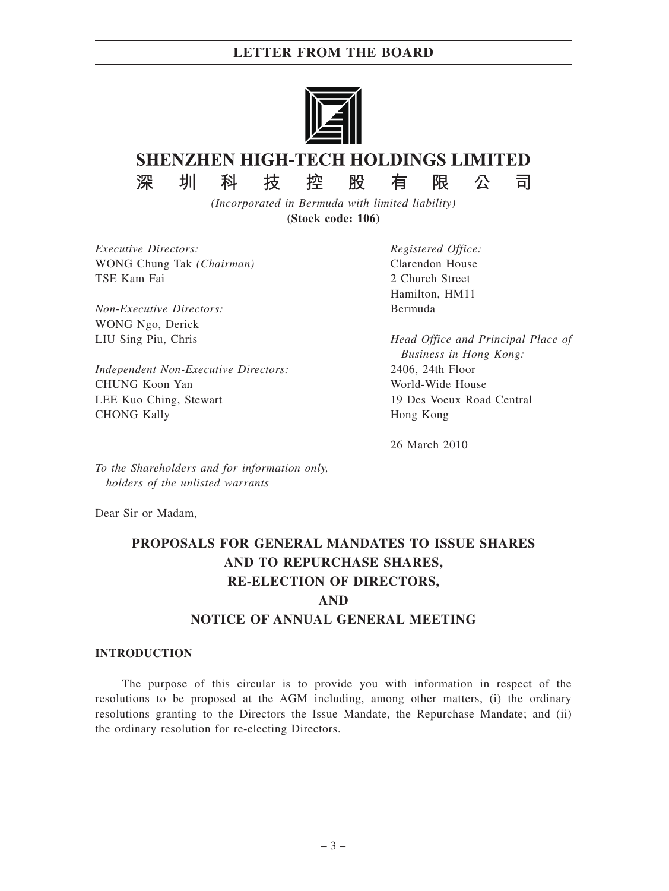# **LETTER FROM THE BOARD**



# **SHENZHEN HIGH-TECH HOLDINGS LIMITED**

圳 深

科

技

控 股

限 有

*(Incorporated in Bermuda with limited liability)* **(Stock code: 106)**

*Executive Directors:* WONG Chung Tak *(Chairman)* TSE Kam Fai

*Non-Executive Directors:* WONG Ngo, Derick LIU Sing Piu, Chris

*Independent Non-Executive Directors:* CHUNG Koon Yan LEE Kuo Ching, Stewart CHONG Kally

*Registered Office:* Clarendon House 2 Church Street Hamilton, HM11 Bermuda

*Head Office and Principal Place of Business in Hong Kong:* 2406, 24th Floor World-Wide House 19 Des Voeux Road Central Hong Kong

公

司

26 March 2010

*To the Shareholders and for information only, holders of the unlisted warrants*

Dear Sir or Madam,

# **PROPOSALS FOR GENERAL MANDATES TO ISSUE SHARES AND TO REPURCHASE SHARES, RE-ELECTION OF DIRECTORS, AND**

# **NOTICE OF ANNUAL GENERAL MEETING**

# **INTRODUCTION**

The purpose of this circular is to provide you with information in respect of the resolutions to be proposed at the AGM including, among other matters, (i) the ordinary resolutions granting to the Directors the Issue Mandate, the Repurchase Mandate; and (ii) the ordinary resolution for re-electing Directors.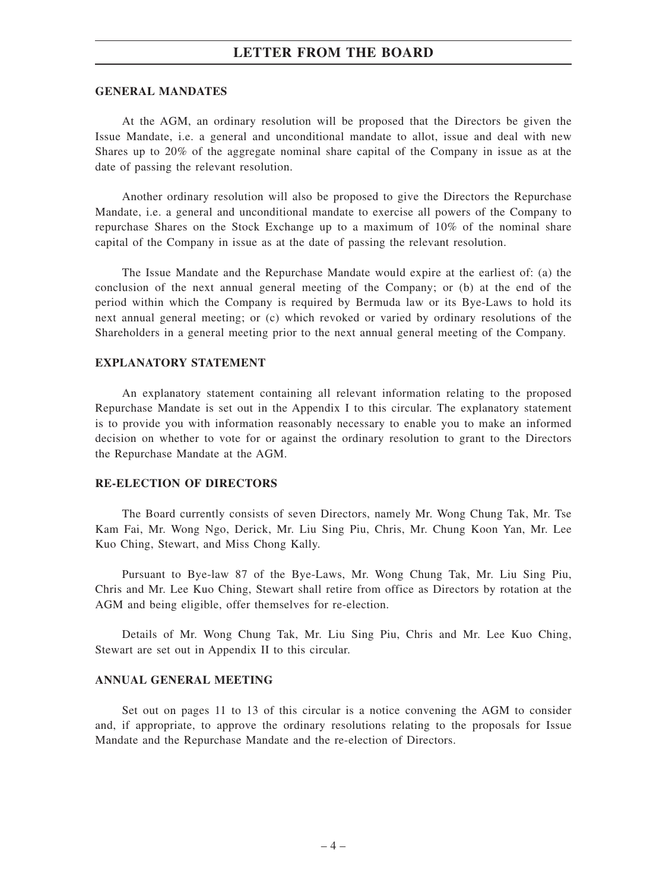# **LETTER FROM THE BOARD**

#### **GENERAL MANDATES**

At the AGM, an ordinary resolution will be proposed that the Directors be given the Issue Mandate, i.e. a general and unconditional mandate to allot, issue and deal with new Shares up to 20% of the aggregate nominal share capital of the Company in issue as at the date of passing the relevant resolution.

Another ordinary resolution will also be proposed to give the Directors the Repurchase Mandate, i.e. a general and unconditional mandate to exercise all powers of the Company to repurchase Shares on the Stock Exchange up to a maximum of 10% of the nominal share capital of the Company in issue as at the date of passing the relevant resolution.

The Issue Mandate and the Repurchase Mandate would expire at the earliest of: (a) the conclusion of the next annual general meeting of the Company; or (b) at the end of the period within which the Company is required by Bermuda law or its Bye-Laws to hold its next annual general meeting; or (c) which revoked or varied by ordinary resolutions of the Shareholders in a general meeting prior to the next annual general meeting of the Company.

#### **EXPLANATORY STATEMENT**

An explanatory statement containing all relevant information relating to the proposed Repurchase Mandate is set out in the Appendix I to this circular. The explanatory statement is to provide you with information reasonably necessary to enable you to make an informed decision on whether to vote for or against the ordinary resolution to grant to the Directors the Repurchase Mandate at the AGM.

### **RE-ELECTION OF DIRECTORS**

The Board currently consists of seven Directors, namely Mr. Wong Chung Tak, Mr. Tse Kam Fai, Mr. Wong Ngo, Derick, Mr. Liu Sing Piu, Chris, Mr. Chung Koon Yan, Mr. Lee Kuo Ching, Stewart, and Miss Chong Kally.

Pursuant to Bye-law 87 of the Bye-Laws, Mr. Wong Chung Tak, Mr. Liu Sing Piu, Chris and Mr. Lee Kuo Ching, Stewart shall retire from office as Directors by rotation at the AGM and being eligible, offer themselves for re-election.

Details of Mr. Wong Chung Tak, Mr. Liu Sing Piu, Chris and Mr. Lee Kuo Ching, Stewart are set out in Appendix II to this circular.

#### **ANNUAL GENERAL MEETING**

Set out on pages 11 to 13 of this circular is a notice convening the AGM to consider and, if appropriate, to approve the ordinary resolutions relating to the proposals for Issue Mandate and the Repurchase Mandate and the re-election of Directors.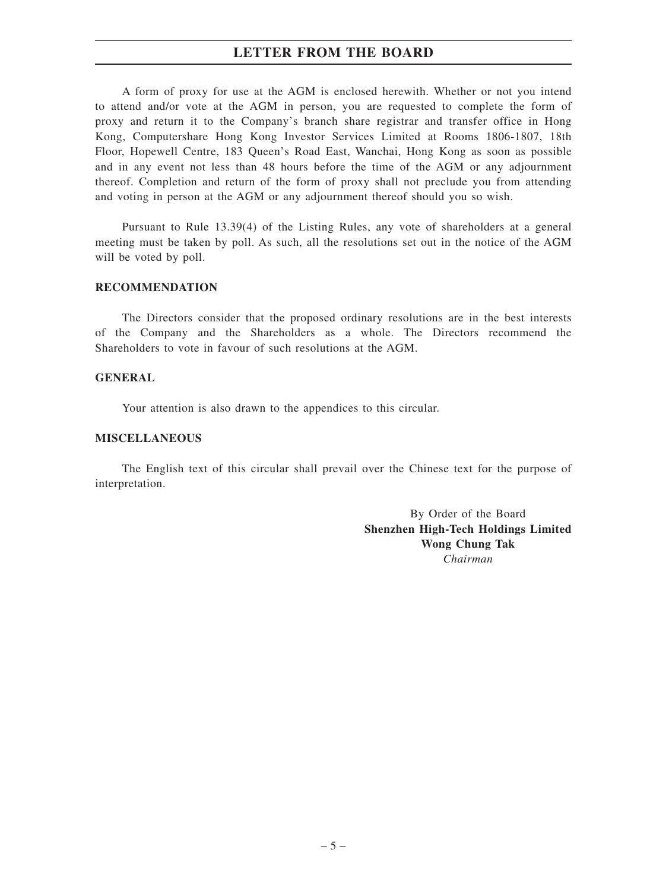# **LETTER FROM THE BOARD**

A form of proxy for use at the AGM is enclosed herewith. Whether or not you intend to attend and/or vote at the AGM in person, you are requested to complete the form of proxy and return it to the Company's branch share registrar and transfer office in Hong Kong, Computershare Hong Kong Investor Services Limited at Rooms 1806-1807, 18th Floor, Hopewell Centre, 183 Queen's Road East, Wanchai, Hong Kong as soon as possible and in any event not less than 48 hours before the time of the AGM or any adjournment thereof. Completion and return of the form of proxy shall not preclude you from attending and voting in person at the AGM or any adjournment thereof should you so wish.

Pursuant to Rule 13.39(4) of the Listing Rules, any vote of shareholders at a general meeting must be taken by poll. As such, all the resolutions set out in the notice of the AGM will be voted by poll.

#### **RECOMMENDATION**

The Directors consider that the proposed ordinary resolutions are in the best interests of the Company and the Shareholders as a whole. The Directors recommend the Shareholders to vote in favour of such resolutions at the AGM.

### **GENERAL**

Your attention is also drawn to the appendices to this circular.

# **MISCELLANEOUS**

The English text of this circular shall prevail over the Chinese text for the purpose of interpretation.

> By Order of the Board **Shenzhen High-Tech Holdings Limited Wong Chung Tak** *Chairman*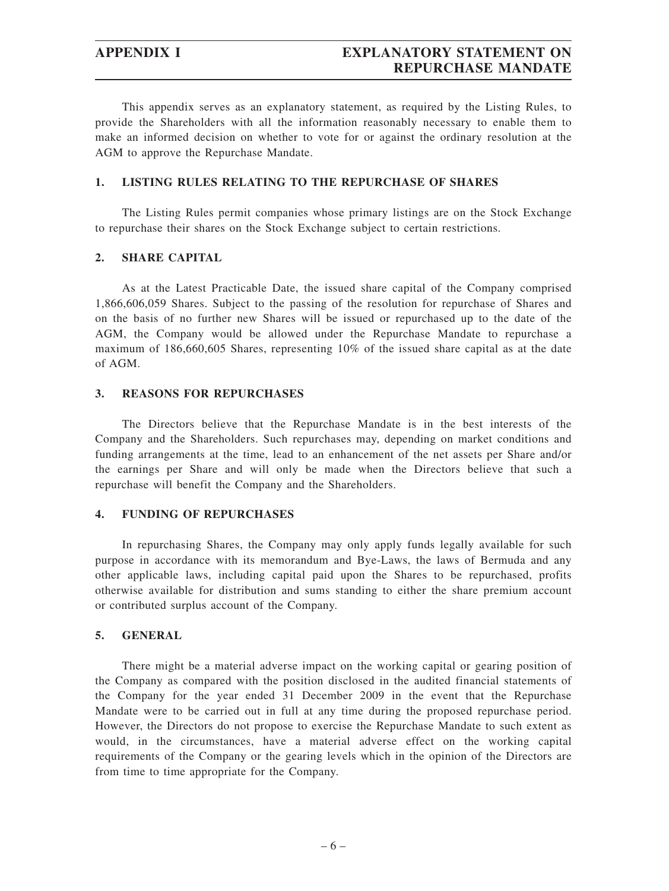This appendix serves as an explanatory statement, as required by the Listing Rules, to provide the Shareholders with all the information reasonably necessary to enable them to make an informed decision on whether to vote for or against the ordinary resolution at the AGM to approve the Repurchase Mandate.

# **1. LISTING RULES RELATING TO THE REPURCHASE OF SHARES**

The Listing Rules permit companies whose primary listings are on the Stock Exchange to repurchase their shares on the Stock Exchange subject to certain restrictions.

# **2. SHARE CAPITAL**

As at the Latest Practicable Date, the issued share capital of the Company comprised 1,866,606,059 Shares. Subject to the passing of the resolution for repurchase of Shares and on the basis of no further new Shares will be issued or repurchased up to the date of the AGM, the Company would be allowed under the Repurchase Mandate to repurchase a maximum of 186,660,605 Shares, representing 10% of the issued share capital as at the date of AGM.

# **3. REASONS FOR REPURCHASES**

The Directors believe that the Repurchase Mandate is in the best interests of the Company and the Shareholders. Such repurchases may, depending on market conditions and funding arrangements at the time, lead to an enhancement of the net assets per Share and/or the earnings per Share and will only be made when the Directors believe that such a repurchase will benefit the Company and the Shareholders.

# **4. FUNDING OF REPURCHASES**

In repurchasing Shares, the Company may only apply funds legally available for such purpose in accordance with its memorandum and Bye-Laws, the laws of Bermuda and any other applicable laws, including capital paid upon the Shares to be repurchased, profits otherwise available for distribution and sums standing to either the share premium account or contributed surplus account of the Company.

## **5. GENERAL**

There might be a material adverse impact on the working capital or gearing position of the Company as compared with the position disclosed in the audited financial statements of the Company for the year ended 31 December 2009 in the event that the Repurchase Mandate were to be carried out in full at any time during the proposed repurchase period. However, the Directors do not propose to exercise the Repurchase Mandate to such extent as would, in the circumstances, have a material adverse effect on the working capital requirements of the Company or the gearing levels which in the opinion of the Directors are from time to time appropriate for the Company.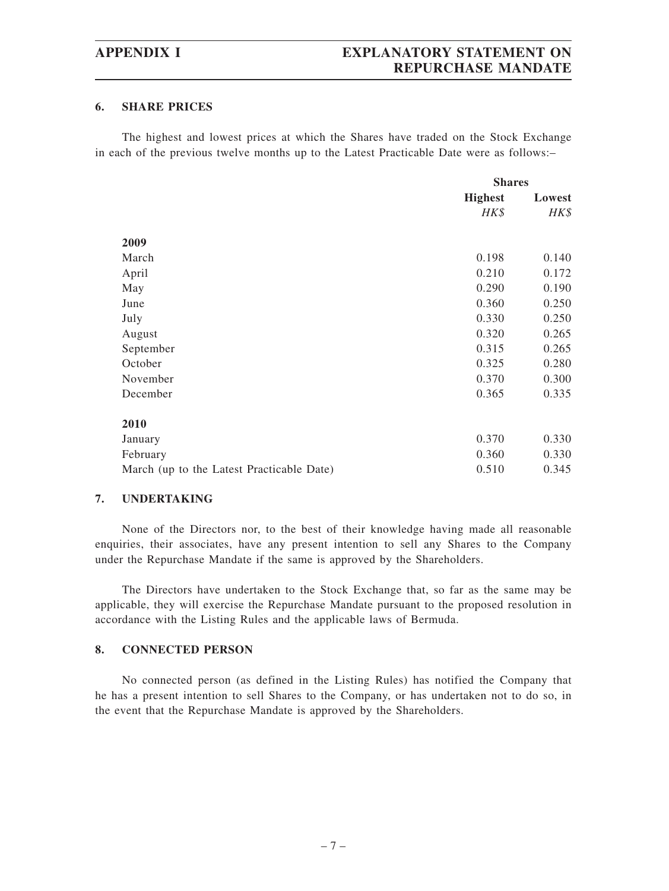# **6. SHARE PRICES**

The highest and lowest prices at which the Shares have traded on the Stock Exchange in each of the previous twelve months up to the Latest Practicable Date were as follows:–

|                                           |                | <b>Shares</b> |  |
|-------------------------------------------|----------------|---------------|--|
|                                           | <b>Highest</b> | Lowest        |  |
|                                           | HK\$           | HK\$          |  |
|                                           |                |               |  |
| 2009                                      |                |               |  |
| March                                     | 0.198          | 0.140         |  |
| April                                     | 0.210          | 0.172         |  |
| May                                       | 0.290          | 0.190         |  |
| June                                      | 0.360          | 0.250         |  |
| July                                      | 0.330          | 0.250         |  |
| August                                    | 0.320          | 0.265         |  |
| September                                 | 0.315          | 0.265         |  |
| October                                   | 0.325          | 0.280         |  |
| November                                  | 0.370          | 0.300         |  |
| December                                  | 0.365          | 0.335         |  |
| 2010                                      |                |               |  |
| January                                   | 0.370          | 0.330         |  |
| February                                  | 0.360          | 0.330         |  |
| March (up to the Latest Practicable Date) | 0.510          | 0.345         |  |

## **7. UNDERTAKING**

None of the Directors nor, to the best of their knowledge having made all reasonable enquiries, their associates, have any present intention to sell any Shares to the Company under the Repurchase Mandate if the same is approved by the Shareholders.

The Directors have undertaken to the Stock Exchange that, so far as the same may be applicable, they will exercise the Repurchase Mandate pursuant to the proposed resolution in accordance with the Listing Rules and the applicable laws of Bermuda.

# **8. CONNECTED PERSON**

No connected person (as defined in the Listing Rules) has notified the Company that he has a present intention to sell Shares to the Company, or has undertaken not to do so, in the event that the Repurchase Mandate is approved by the Shareholders.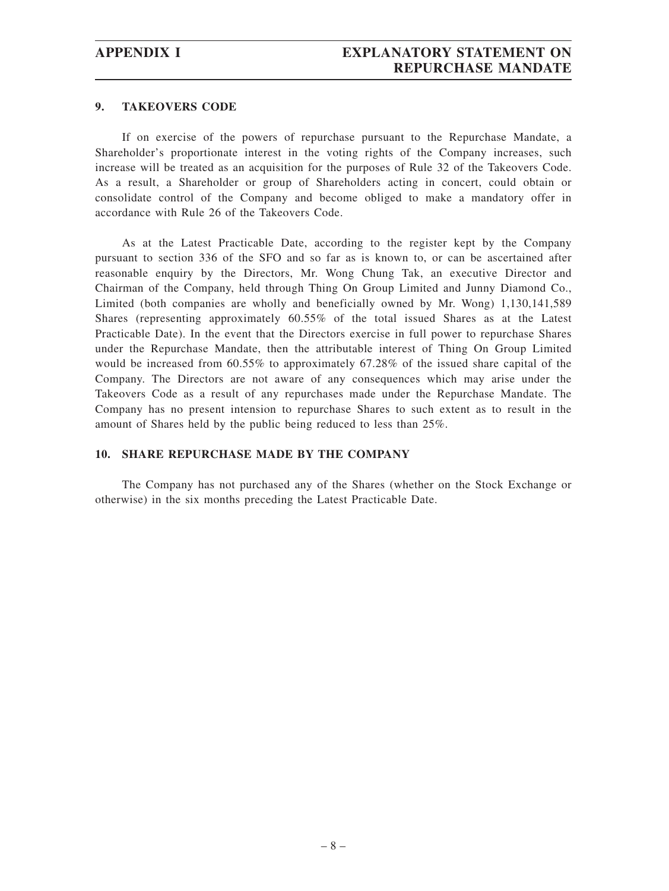### **9. TAKEOVERS CODE**

If on exercise of the powers of repurchase pursuant to the Repurchase Mandate, a Shareholder's proportionate interest in the voting rights of the Company increases, such increase will be treated as an acquisition for the purposes of Rule 32 of the Takeovers Code. As a result, a Shareholder or group of Shareholders acting in concert, could obtain or consolidate control of the Company and become obliged to make a mandatory offer in accordance with Rule 26 of the Takeovers Code.

As at the Latest Practicable Date, according to the register kept by the Company pursuant to section 336 of the SFO and so far as is known to, or can be ascertained after reasonable enquiry by the Directors, Mr. Wong Chung Tak, an executive Director and Chairman of the Company, held through Thing On Group Limited and Junny Diamond Co., Limited (both companies are wholly and beneficially owned by Mr. Wong) 1,130,141,589 Shares (representing approximately 60.55% of the total issued Shares as at the Latest Practicable Date). In the event that the Directors exercise in full power to repurchase Shares under the Repurchase Mandate, then the attributable interest of Thing On Group Limited would be increased from 60.55% to approximately 67.28% of the issued share capital of the Company. The Directors are not aware of any consequences which may arise under the Takeovers Code as a result of any repurchases made under the Repurchase Mandate. The Company has no present intension to repurchase Shares to such extent as to result in the amount of Shares held by the public being reduced to less than 25%.

# **10. SHARE REPURCHASE MADE BY THE COMPANY**

The Company has not purchased any of the Shares (whether on the Stock Exchange or otherwise) in the six months preceding the Latest Practicable Date.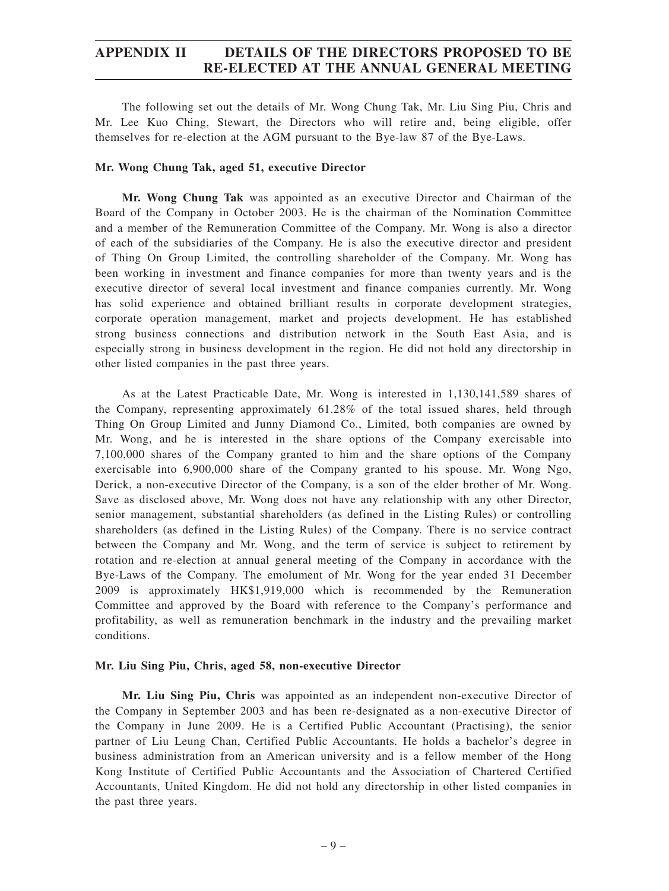# **APPENDIX II DETAILS OF THE DIRECTORS PROPOSED TO BE RE-ELECTED AT THE ANNUAL GENERAL MEETING**

The following set out the details of Mr. Wong Chung Tak, Mr. Liu Sing Piu, Chris and Mr. Lee Kuo Ching, Stewart, the Directors who will retire and, being eligible, offer themselves for re-election at the AGM pursuant to the Bye-law 87 of the Bye-Laws.

### **Mr. Wong Chung Tak, aged 51, executive Director**

**Mr. Wong Chung Tak** was appointed as an executive Director and Chairman of the Board of the Company in October 2003. He is the chairman of the Nomination Committee and a member of the Remuneration Committee of the Company. Mr. Wong is also a director of each of the subsidiaries of the Company. He is also the executive director and president of Thing On Group Limited, the controlling shareholder of the Company. Mr. Wong has been working in investment and finance companies for more than twenty years and is the executive director of several local investment and finance companies currently. Mr. Wong has solid experience and obtained brilliant results in corporate development strategies, corporate operation management, market and projects development. He has established strong business connections and distribution network in the South East Asia, and is especially strong in business development in the region. He did not hold any directorship in other listed companies in the past three years.

As at the Latest Practicable Date, Mr. Wong is interested in 1,130,141,589 shares of the Company, representing approximately 61.28% of the total issued shares, held through Thing On Group Limited and Junny Diamond Co., Limited, both companies are owned by Mr. Wong, and he is interested in the share options of the Company exercisable into 7,100,000 shares of the Company granted to him and the share options of the Company exercisable into 6,900,000 share of the Company granted to his spouse. Mr. Wong Ngo, Derick, a non-executive Director of the Company, is a son of the elder brother of Mr. Wong. Save as disclosed above, Mr. Wong does not have any relationship with any other Director, senior management, substantial shareholders (as defined in the Listing Rules) or controlling shareholders (as defined in the Listing Rules) of the Company. There is no service contract between the Company and Mr. Wong, and the term of service is subject to retirement by rotation and re-election at annual general meeting of the Company in accordance with the Bye-Laws of the Company. The emolument of Mr. Wong for the year ended 31 December 2009 is approximately HK\$1,919,000 which is recommended by the Remuneration Committee and approved by the Board with reference to the Company's performance and profitability, as well as remuneration benchmark in the industry and the prevailing market conditions.

#### **Mr. Liu Sing Piu, Chris, aged 58, non-executive Director**

**Mr. Liu Sing Piu, Chris** was appointed as an independent non-executive Director of the Company in September 2003 and has been re-designated as a non-executive Director of the Company in June 2009. He is a Certified Public Accountant (Practising), the senior partner of Liu Leung Chan, Certified Public Accountants. He holds a bachelor's degree in business administration from an American university and is a fellow member of the Hong Kong Institute of Certified Public Accountants and the Association of Chartered Certified Accountants, United Kingdom. He did not hold any directorship in other listed companies in the past three years.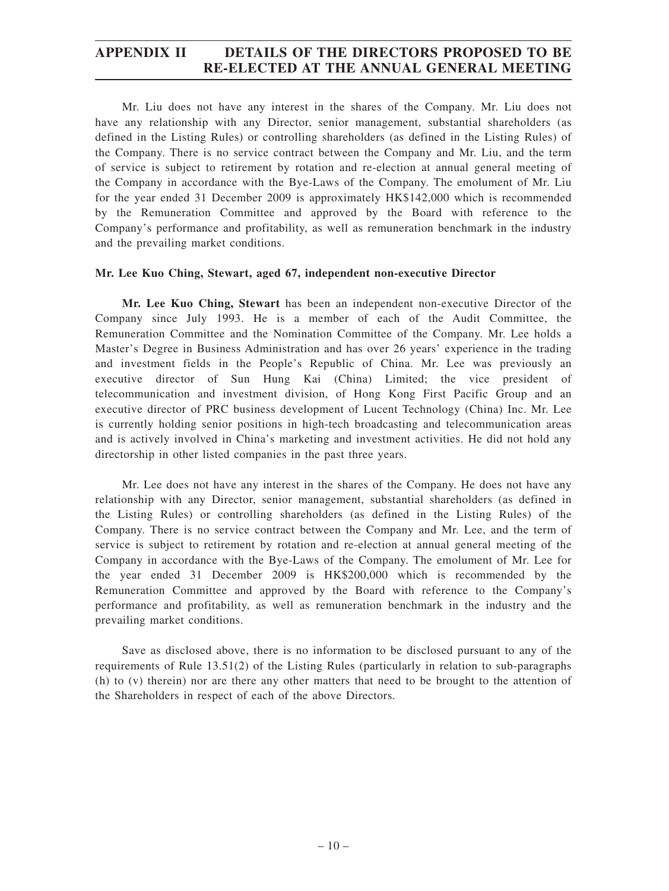# **APPENDIX II DETAILS OF THE DIRECTORS PROPOSED TO BE RE-ELECTED AT THE ANNUAL GENERAL MEETING**

Mr. Liu does not have any interest in the shares of the Company. Mr. Liu does not have any relationship with any Director, senior management, substantial shareholders (as defined in the Listing Rules) or controlling shareholders (as defined in the Listing Rules) of the Company. There is no service contract between the Company and Mr. Liu, and the term of service is subject to retirement by rotation and re-election at annual general meeting of the Company in accordance with the Bye-Laws of the Company. The emolument of Mr. Liu for the year ended 31 December 2009 is approximately HK\$142,000 which is recommended by the Remuneration Committee and approved by the Board with reference to the Company's performance and profitability, as well as remuneration benchmark in the industry and the prevailing market conditions.

## **Mr. Lee Kuo Ching, Stewart, aged 67, independent non-executive Director**

**Mr. Lee Kuo Ching, Stewart** has been an independent non-executive Director of the Company since July 1993. He is a member of each of the Audit Committee, the Remuneration Committee and the Nomination Committee of the Company. Mr. Lee holds a Master's Degree in Business Administration and has over 26 years' experience in the trading and investment fields in the People's Republic of China. Mr. Lee was previously an executive director of Sun Hung Kai (China) Limited; the vice president of telecommunication and investment division, of Hong Kong First Pacific Group and an executive director of PRC business development of Lucent Technology (China) Inc. Mr. Lee is currently holding senior positions in high-tech broadcasting and telecommunication areas and is actively involved in China's marketing and investment activities. He did not hold any directorship in other listed companies in the past three years.

Mr. Lee does not have any interest in the shares of the Company. He does not have any relationship with any Director, senior management, substantial shareholders (as defined in the Listing Rules) or controlling shareholders (as defined in the Listing Rules) of the Company. There is no service contract between the Company and Mr. Lee, and the term of service is subject to retirement by rotation and re-election at annual general meeting of the Company in accordance with the Bye-Laws of the Company. The emolument of Mr. Lee for the year ended 31 December 2009 is HK\$200,000 which is recommended by the Remuneration Committee and approved by the Board with reference to the Company's performance and profitability, as well as remuneration benchmark in the industry and the prevailing market conditions.

Save as disclosed above, there is no information to be disclosed pursuant to any of the requirements of Rule 13.51(2) of the Listing Rules (particularly in relation to sub-paragraphs (h) to (v) therein) nor are there any other matters that need to be brought to the attention of the Shareholders in respect of each of the above Directors.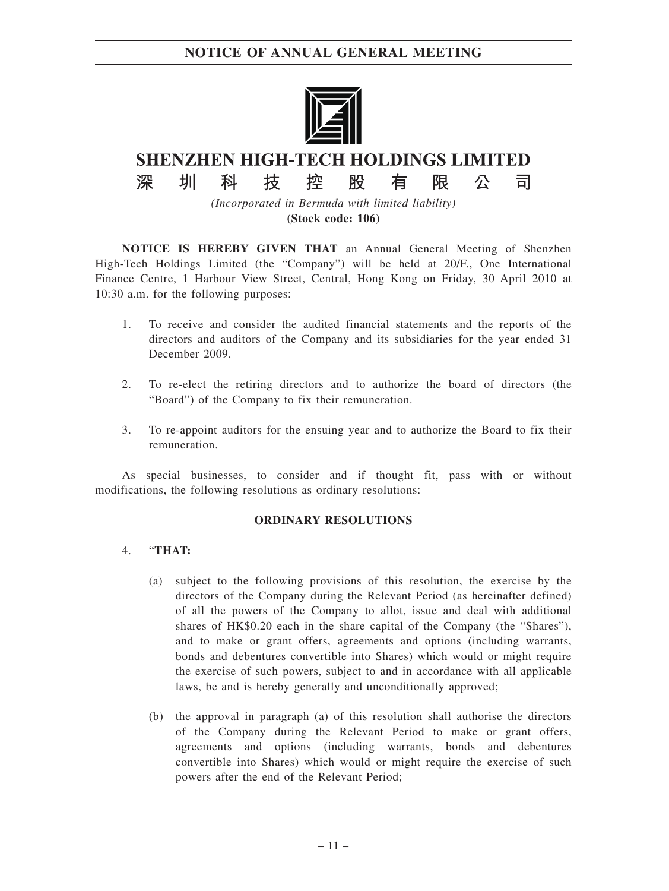# **NOTICE OF ANNUAL GENERAL MEETING**



# **SHENZHEN HIGH-TECH HOLDINGS LIMITED**

股

限

公

킈

有

椌

*(Incorporated in Bermuda with limited liability)* **(Stock code: 106)**

**NOTICE IS HEREBY GIVEN THAT** an Annual General Meeting of Shenzhen High-Tech Holdings Limited (the "Company") will be held at 20/F., One International Finance Centre, 1 Harbour View Street, Central, Hong Kong on Friday, 30 April 2010 at 10:30 a.m. for the following purposes:

- 1. To receive and consider the audited financial statements and the reports of the directors and auditors of the Company and its subsidiaries for the year ended 31 December 2009.
- 2. To re-elect the retiring directors and to authorize the board of directors (the "Board") of the Company to fix their remuneration.
- 3. To re-appoint auditors for the ensuing year and to authorize the Board to fix their remuneration.

As special businesses, to consider and if thought fit, pass with or without modifications, the following resolutions as ordinary resolutions:

## **ORDINARY RESOLUTIONS**

## 4. "**THAT:**

圳

科

技

深

- (a) subject to the following provisions of this resolution, the exercise by the directors of the Company during the Relevant Period (as hereinafter defined) of all the powers of the Company to allot, issue and deal with additional shares of HK\$0.20 each in the share capital of the Company (the "Shares"), and to make or grant offers, agreements and options (including warrants, bonds and debentures convertible into Shares) which would or might require the exercise of such powers, subject to and in accordance with all applicable laws, be and is hereby generally and unconditionally approved;
- (b) the approval in paragraph (a) of this resolution shall authorise the directors of the Company during the Relevant Period to make or grant offers, agreements and options (including warrants, bonds and debentures convertible into Shares) which would or might require the exercise of such powers after the end of the Relevant Period;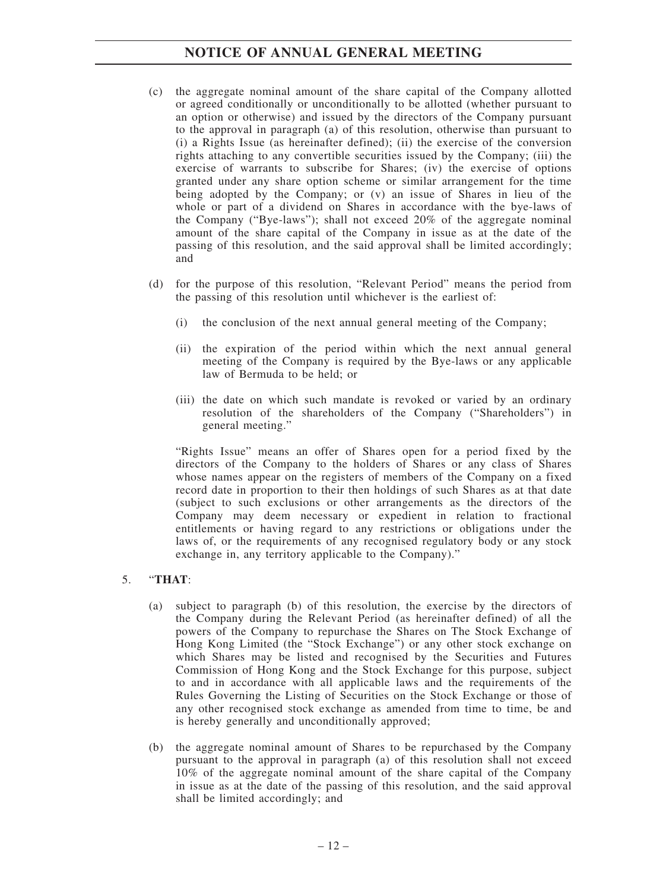# **NOTICE OF ANNUAL GENERAL MEETING**

- (c) the aggregate nominal amount of the share capital of the Company allotted or agreed conditionally or unconditionally to be allotted (whether pursuant to an option or otherwise) and issued by the directors of the Company pursuant to the approval in paragraph (a) of this resolution, otherwise than pursuant to (i) a Rights Issue (as hereinafter defined); (ii) the exercise of the conversion rights attaching to any convertible securities issued by the Company; (iii) the exercise of warrants to subscribe for Shares; (iv) the exercise of options granted under any share option scheme or similar arrangement for the time being adopted by the Company; or (v) an issue of Shares in lieu of the whole or part of a dividend on Shares in accordance with the bye-laws of the Company ("Bye-laws"); shall not exceed 20% of the aggregate nominal amount of the share capital of the Company in issue as at the date of the passing of this resolution, and the said approval shall be limited accordingly; and
- (d) for the purpose of this resolution, "Relevant Period" means the period from the passing of this resolution until whichever is the earliest of:
	- (i) the conclusion of the next annual general meeting of the Company;
	- (ii) the expiration of the period within which the next annual general meeting of the Company is required by the Bye-laws or any applicable law of Bermuda to be held; or
	- (iii) the date on which such mandate is revoked or varied by an ordinary resolution of the shareholders of the Company ("Shareholders") in general meeting."

"Rights Issue" means an offer of Shares open for a period fixed by the directors of the Company to the holders of Shares or any class of Shares whose names appear on the registers of members of the Company on a fixed record date in proportion to their then holdings of such Shares as at that date (subject to such exclusions or other arrangements as the directors of the Company may deem necessary or expedient in relation to fractional entitlements or having regard to any restrictions or obligations under the laws of, or the requirements of any recognised regulatory body or any stock exchange in, any territory applicable to the Company)."

# 5. "**THAT**:

- (a) subject to paragraph (b) of this resolution, the exercise by the directors of the Company during the Relevant Period (as hereinafter defined) of all the powers of the Company to repurchase the Shares on The Stock Exchange of Hong Kong Limited (the "Stock Exchange") or any other stock exchange on which Shares may be listed and recognised by the Securities and Futures Commission of Hong Kong and the Stock Exchange for this purpose, subject to and in accordance with all applicable laws and the requirements of the Rules Governing the Listing of Securities on the Stock Exchange or those of any other recognised stock exchange as amended from time to time, be and is hereby generally and unconditionally approved;
- (b) the aggregate nominal amount of Shares to be repurchased by the Company pursuant to the approval in paragraph (a) of this resolution shall not exceed 10% of the aggregate nominal amount of the share capital of the Company in issue as at the date of the passing of this resolution, and the said approval shall be limited accordingly; and